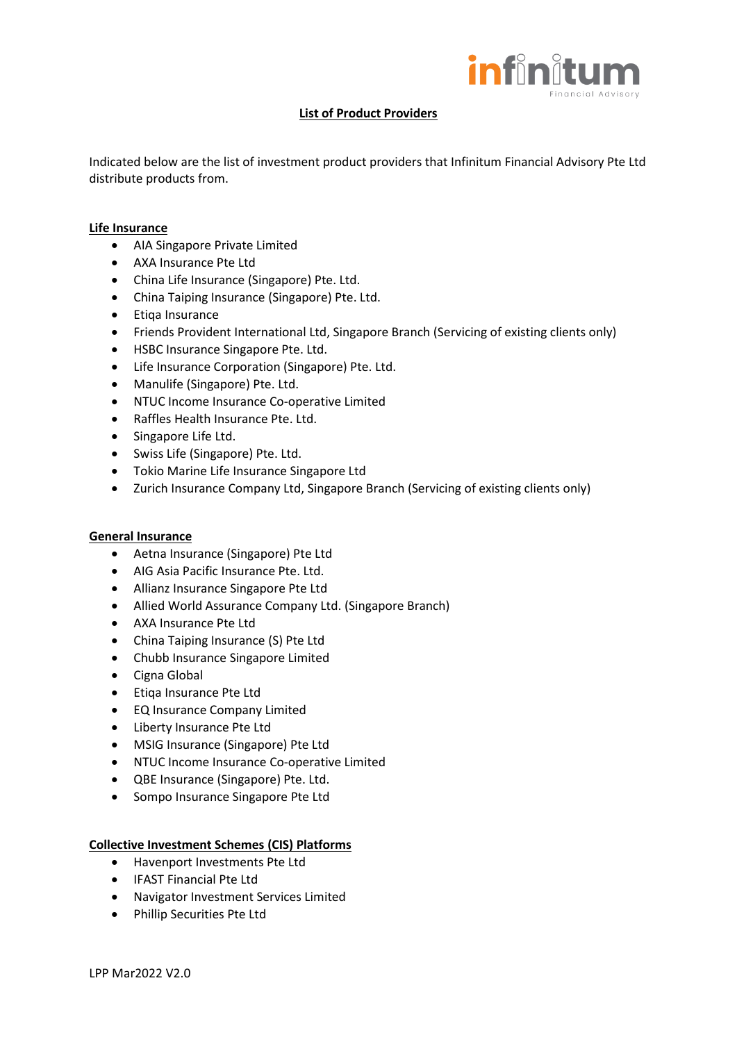

## **List of Product Providers**

Indicated below are the list of investment product providers that Infinitum Financial Advisory Pte Ltd distribute products from.

## **Life Insurance**

- AIA Singapore Private Limited
- AXA Insurance Pte Ltd
- China Life Insurance (Singapore) Pte. Ltd.
- China Taiping Insurance (Singapore) Pte. Ltd.
- Etiqa Insurance
- Friends Provident International Ltd, Singapore Branch (Servicing of existing clients only)
- HSBC Insurance Singapore Pte. Ltd.
- Life Insurance Corporation (Singapore) Pte. Ltd.
- Manulife (Singapore) Pte. Ltd.
- NTUC Income Insurance Co-operative Limited
- Raffles Health Insurance Pte. Ltd.
- Singapore Life Ltd.
- Swiss Life (Singapore) Pte. Ltd.
- Tokio Marine Life Insurance Singapore Ltd
- Zurich Insurance Company Ltd, Singapore Branch (Servicing of existing clients only)

## **General Insurance**

- Aetna Insurance (Singapore) Pte Ltd
- AIG Asia Pacific Insurance Pte. Ltd.
- Allianz Insurance Singapore Pte Ltd
- Allied World Assurance Company Ltd. (Singapore Branch)
- AXA Insurance Pte Ltd
- China Taiping Insurance (S) Pte Ltd
- Chubb Insurance Singapore Limited
- Cigna Global
- Etiqa Insurance Pte Ltd
- EQ Insurance Company Limited
- Liberty Insurance Pte Ltd
- MSIG Insurance (Singapore) Pte Ltd
- NTUC Income Insurance Co-operative Limited
- QBE Insurance (Singapore) Pte. Ltd.
- Sompo Insurance Singapore Pte Ltd

## **Collective Investment Schemes (CIS) Platforms**

- Havenport Investments Pte Ltd
- IFAST Financial Pte Ltd
- Navigator Investment Services Limited
- Phillip Securities Pte Ltd